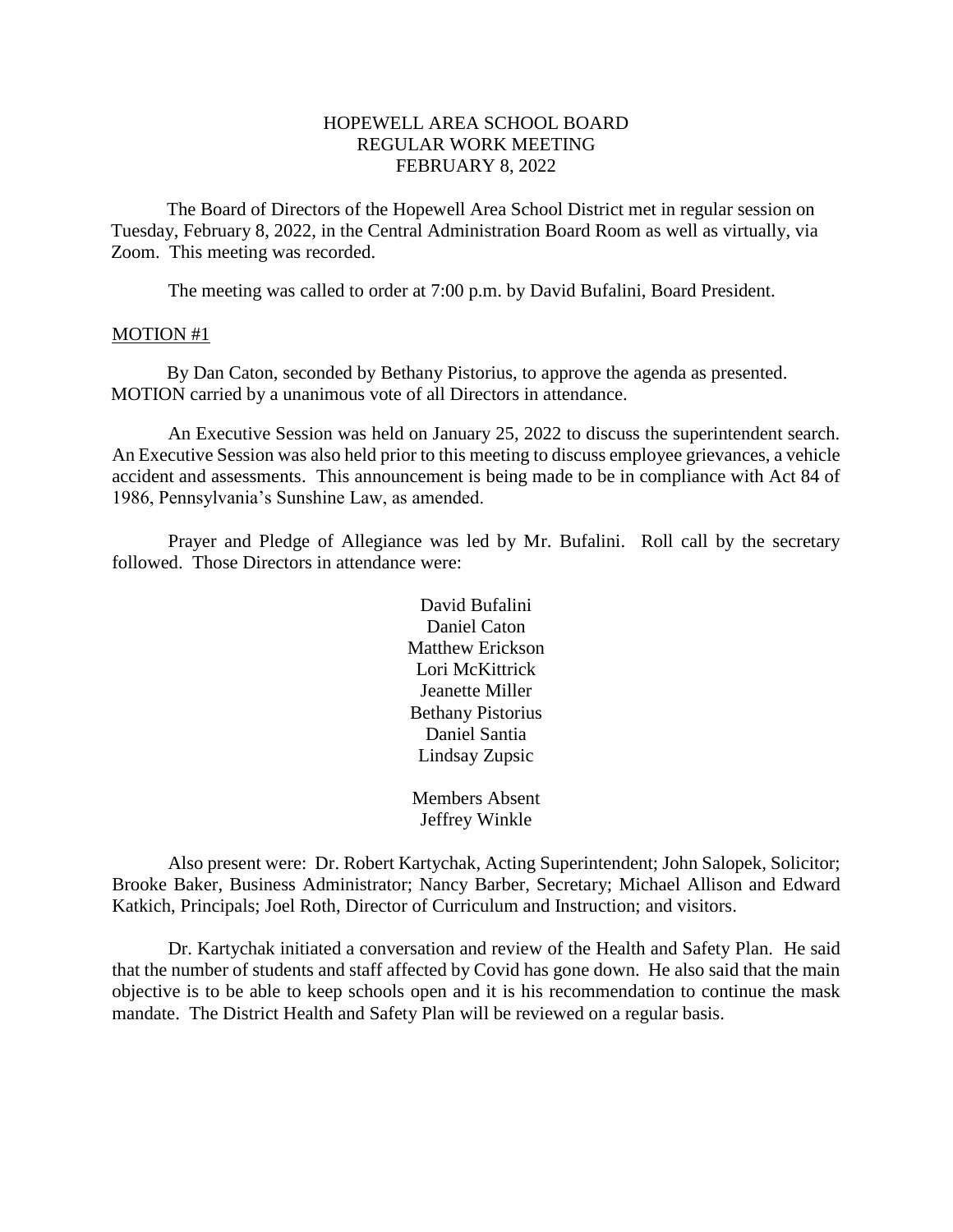### HOPEWELL AREA SCHOOL BOARD REGULAR WORK MEETING FEBRUARY 8, 2022

The Board of Directors of the Hopewell Area School District met in regular session on Tuesday, February 8, 2022, in the Central Administration Board Room as well as virtually, via Zoom. This meeting was recorded.

The meeting was called to order at 7:00 p.m. by David Bufalini, Board President.

#### MOTION #1

By Dan Caton, seconded by Bethany Pistorius, to approve the agenda as presented. MOTION carried by a unanimous vote of all Directors in attendance.

An Executive Session was held on January 25, 2022 to discuss the superintendent search. An Executive Session was also held prior to this meeting to discuss employee grievances, a vehicle accident and assessments. This announcement is being made to be in compliance with Act 84 of 1986, Pennsylvania's Sunshine Law, as amended.

Prayer and Pledge of Allegiance was led by Mr. Bufalini. Roll call by the secretary followed. Those Directors in attendance were:

> David Bufalini Daniel Caton Matthew Erickson Lori McKittrick Jeanette Miller Bethany Pistorius Daniel Santia Lindsay Zupsic

Members Absent Jeffrey Winkle

Also present were: Dr. Robert Kartychak, Acting Superintendent; John Salopek, Solicitor; Brooke Baker, Business Administrator; Nancy Barber, Secretary; Michael Allison and Edward Katkich, Principals; Joel Roth, Director of Curriculum and Instruction; and visitors.

Dr. Kartychak initiated a conversation and review of the Health and Safety Plan. He said that the number of students and staff affected by Covid has gone down. He also said that the main objective is to be able to keep schools open and it is his recommendation to continue the mask mandate. The District Health and Safety Plan will be reviewed on a regular basis.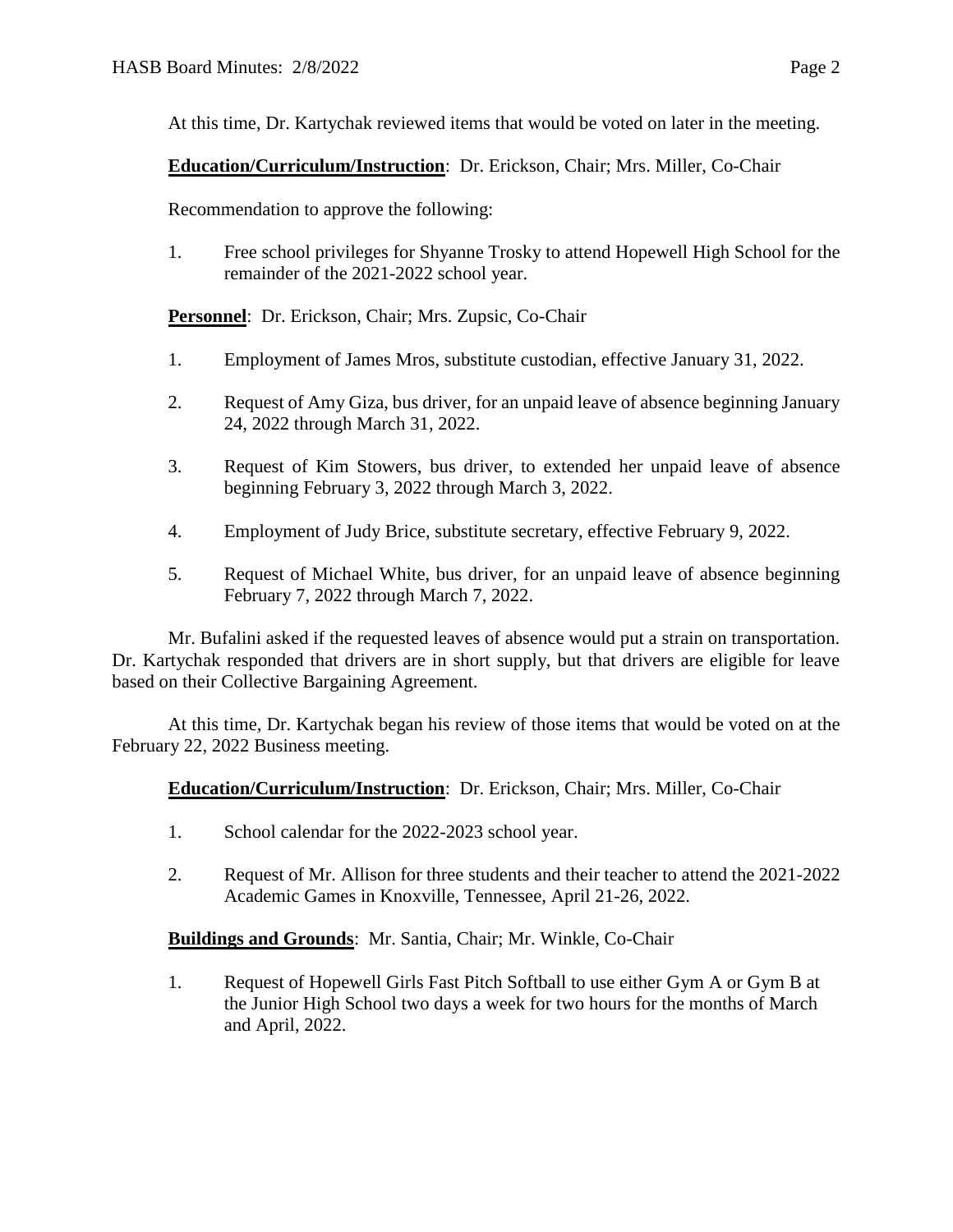At this time, Dr. Kartychak reviewed items that would be voted on later in the meeting.

# **Education/Curriculum/Instruction**: Dr. Erickson, Chair; Mrs. Miller, Co-Chair

Recommendation to approve the following:

1. Free school privileges for Shyanne Trosky to attend Hopewell High School for the remainder of the 2021-2022 school year.

**Personnel**: Dr. Erickson, Chair; Mrs. Zupsic, Co-Chair

- 1. Employment of James Mros, substitute custodian, effective January 31, 2022.
- 2. Request of Amy Giza, bus driver, for an unpaid leave of absence beginning January 24, 2022 through March 31, 2022.
- 3. Request of Kim Stowers, bus driver, to extended her unpaid leave of absence beginning February 3, 2022 through March 3, 2022.
- 4. Employment of Judy Brice, substitute secretary, effective February 9, 2022.
- 5. Request of Michael White, bus driver, for an unpaid leave of absence beginning February 7, 2022 through March 7, 2022.

Mr. Bufalini asked if the requested leaves of absence would put a strain on transportation. Dr. Kartychak responded that drivers are in short supply, but that drivers are eligible for leave based on their Collective Bargaining Agreement.

At this time, Dr. Kartychak began his review of those items that would be voted on at the February 22, 2022 Business meeting.

### **Education/Curriculum/Instruction**: Dr. Erickson, Chair; Mrs. Miller, Co-Chair

- 1. School calendar for the 2022-2023 school year.
- 2. Request of Mr. Allison for three students and their teacher to attend the 2021-2022 Academic Games in Knoxville, Tennessee, April 21-26, 2022.

### **Buildings and Grounds**: Mr. Santia, Chair; Mr. Winkle, Co-Chair

1. Request of Hopewell Girls Fast Pitch Softball to use either Gym A or Gym B at the Junior High School two days a week for two hours for the months of March and April, 2022.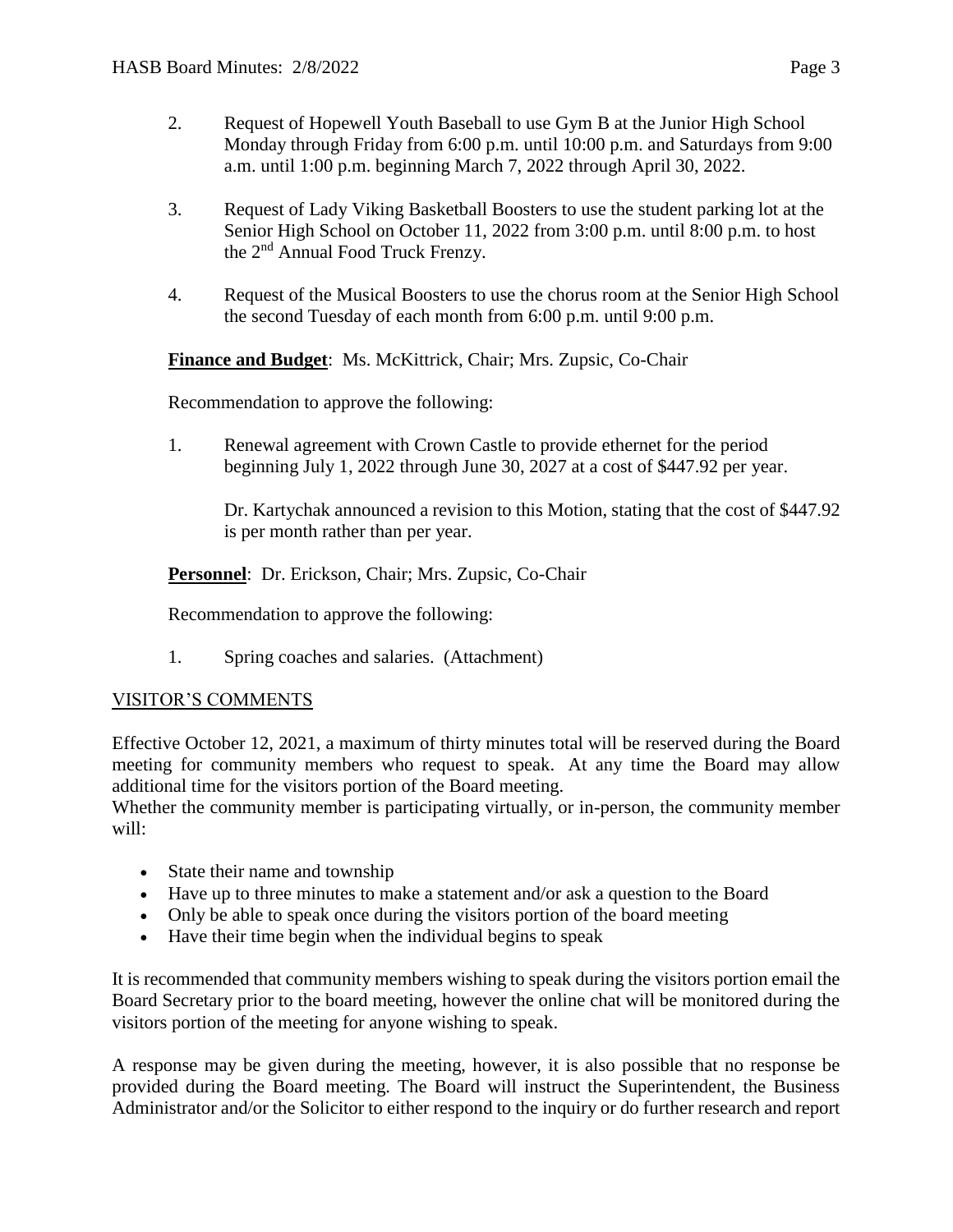- 2. Request of Hopewell Youth Baseball to use Gym B at the Junior High School Monday through Friday from 6:00 p.m. until 10:00 p.m. and Saturdays from 9:00 a.m. until 1:00 p.m. beginning March 7, 2022 through April 30, 2022.
- 3. Request of Lady Viking Basketball Boosters to use the student parking lot at the Senior High School on October 11, 2022 from 3:00 p.m. until 8:00 p.m. to host the 2nd Annual Food Truck Frenzy.
- 4. Request of the Musical Boosters to use the chorus room at the Senior High School the second Tuesday of each month from 6:00 p.m. until 9:00 p.m.

**Finance and Budget**: Ms. McKittrick, Chair; Mrs. Zupsic, Co-Chair

Recommendation to approve the following:

1. Renewal agreement with Crown Castle to provide ethernet for the period beginning July 1, 2022 through June 30, 2027 at a cost of \$447.92 per year.

Dr. Kartychak announced a revision to this Motion, stating that the cost of \$447.92 is per month rather than per year.

**Personnel**: Dr. Erickson, Chair; Mrs. Zupsic, Co-Chair

Recommendation to approve the following:

1. Spring coaches and salaries. (Attachment)

### VISITOR'S COMMENTS

Effective October 12, 2021, a maximum of thirty minutes total will be reserved during the Board meeting for community members who request to speak. At any time the Board may allow additional time for the visitors portion of the Board meeting.

Whether the community member is participating virtually, or in-person, the community member will:

- State their name and township
- Have up to three minutes to make a statement and/or ask a question to the Board
- Only be able to speak once during the visitors portion of the board meeting
- Have their time begin when the individual begins to speak

It is recommended that community members wishing to speak during the visitors portion email the Board Secretary prior to the board meeting, however the online chat will be monitored during the visitors portion of the meeting for anyone wishing to speak.

A response may be given during the meeting, however, it is also possible that no response be provided during the Board meeting. The Board will instruct the Superintendent, the Business Administrator and/or the Solicitor to either respond to the inquiry or do further research and report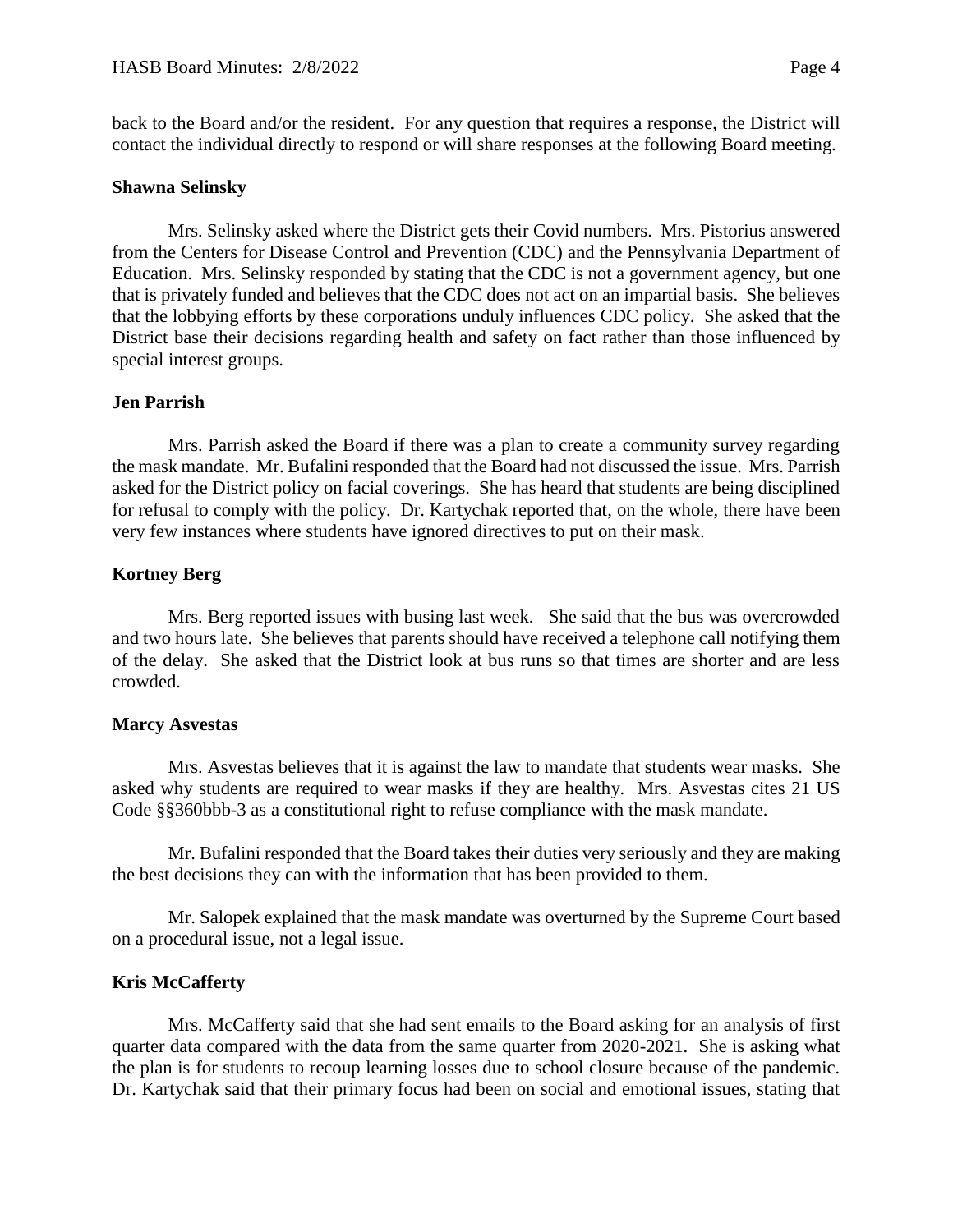back to the Board and/or the resident. For any question that requires a response, the District will contact the individual directly to respond or will share responses at the following Board meeting.

#### **Shawna Selinsky**

Mrs. Selinsky asked where the District gets their Covid numbers. Mrs. Pistorius answered from the Centers for Disease Control and Prevention (CDC) and the Pennsylvania Department of Education. Mrs. Selinsky responded by stating that the CDC is not a government agency, but one that is privately funded and believes that the CDC does not act on an impartial basis. She believes that the lobbying efforts by these corporations unduly influences CDC policy. She asked that the District base their decisions regarding health and safety on fact rather than those influenced by special interest groups.

### **Jen Parrish**

Mrs. Parrish asked the Board if there was a plan to create a community survey regarding the mask mandate. Mr. Bufalini responded that the Board had not discussed the issue. Mrs. Parrish asked for the District policy on facial coverings. She has heard that students are being disciplined for refusal to comply with the policy. Dr. Kartychak reported that, on the whole, there have been very few instances where students have ignored directives to put on their mask.

### **Kortney Berg**

Mrs. Berg reported issues with busing last week. She said that the bus was overcrowded and two hours late. She believes that parents should have received a telephone call notifying them of the delay. She asked that the District look at bus runs so that times are shorter and are less crowded.

### **Marcy Asvestas**

Mrs. Asvestas believes that it is against the law to mandate that students wear masks. She asked why students are required to wear masks if they are healthy. Mrs. Asvestas cites 21 US Code §§360bbb-3 as a constitutional right to refuse compliance with the mask mandate.

Mr. Bufalini responded that the Board takes their duties very seriously and they are making the best decisions they can with the information that has been provided to them.

Mr. Salopek explained that the mask mandate was overturned by the Supreme Court based on a procedural issue, not a legal issue.

### **Kris McCafferty**

Mrs. McCafferty said that she had sent emails to the Board asking for an analysis of first quarter data compared with the data from the same quarter from 2020-2021. She is asking what the plan is for students to recoup learning losses due to school closure because of the pandemic. Dr. Kartychak said that their primary focus had been on social and emotional issues, stating that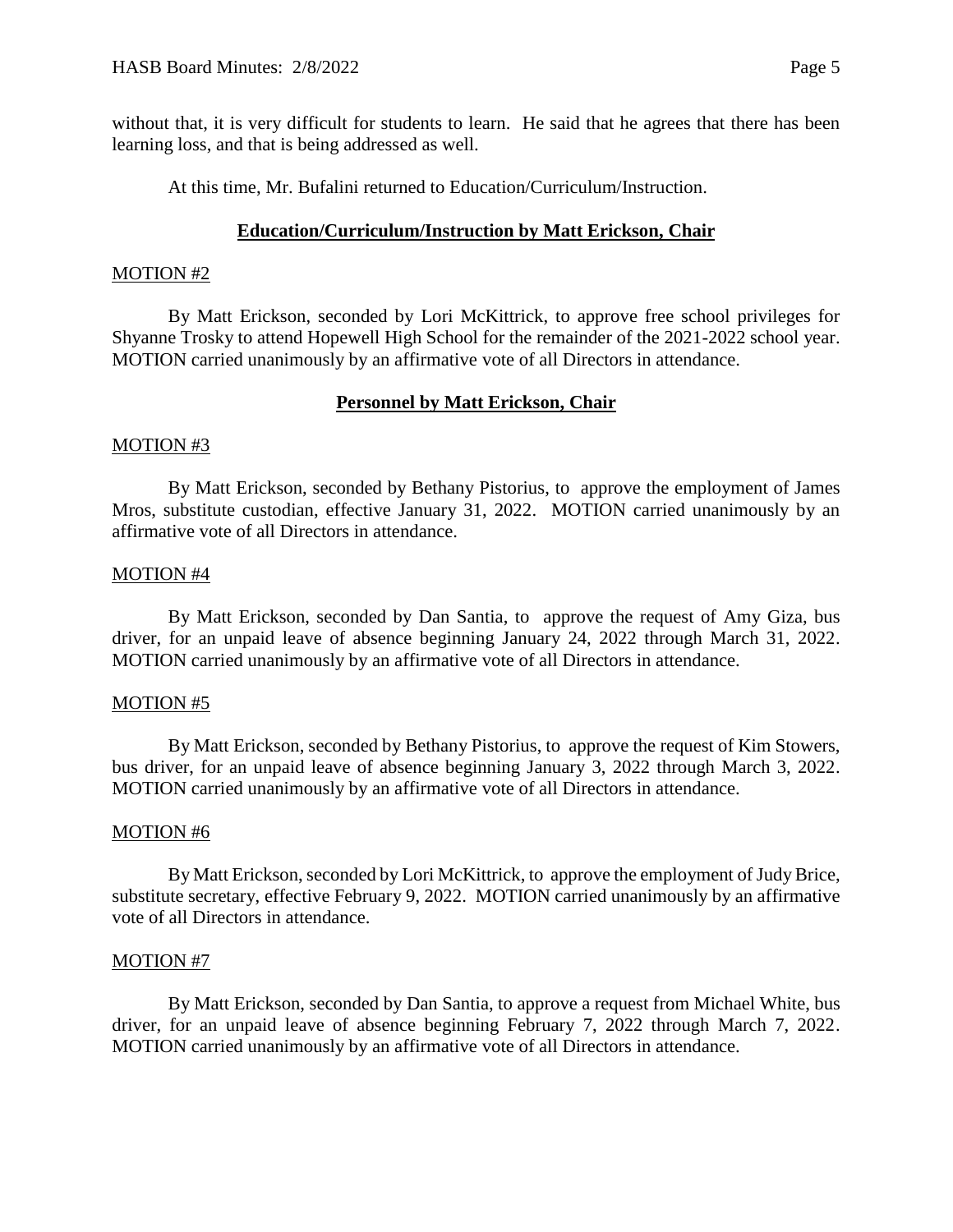without that, it is very difficult for students to learn. He said that he agrees that there has been learning loss, and that is being addressed as well.

At this time, Mr. Bufalini returned to Education/Curriculum/Instruction.

## **Education/Curriculum/Instruction by Matt Erickson, Chair**

#### MOTION #2

By Matt Erickson, seconded by Lori McKittrick, to approve free school privileges for Shyanne Trosky to attend Hopewell High School for the remainder of the 2021-2022 school year. MOTION carried unanimously by an affirmative vote of all Directors in attendance.

# **Personnel by Matt Erickson, Chair**

### MOTION #3

By Matt Erickson, seconded by Bethany Pistorius, to approve the employment of James Mros, substitute custodian, effective January 31, 2022. MOTION carried unanimously by an affirmative vote of all Directors in attendance.

#### MOTION #4

By Matt Erickson, seconded by Dan Santia, to approve the request of Amy Giza, bus driver, for an unpaid leave of absence beginning January 24, 2022 through March 31, 2022. MOTION carried unanimously by an affirmative vote of all Directors in attendance.

#### MOTION #5

By Matt Erickson, seconded by Bethany Pistorius, to approve the request of Kim Stowers, bus driver, for an unpaid leave of absence beginning January 3, 2022 through March 3, 2022. MOTION carried unanimously by an affirmative vote of all Directors in attendance.

#### MOTION #6

By Matt Erickson, seconded by Lori McKittrick, to approve the employment of Judy Brice, substitute secretary, effective February 9, 2022. MOTION carried unanimously by an affirmative vote of all Directors in attendance.

### MOTION #7

By Matt Erickson, seconded by Dan Santia, to approve a request from Michael White, bus driver, for an unpaid leave of absence beginning February 7, 2022 through March 7, 2022. MOTION carried unanimously by an affirmative vote of all Directors in attendance.